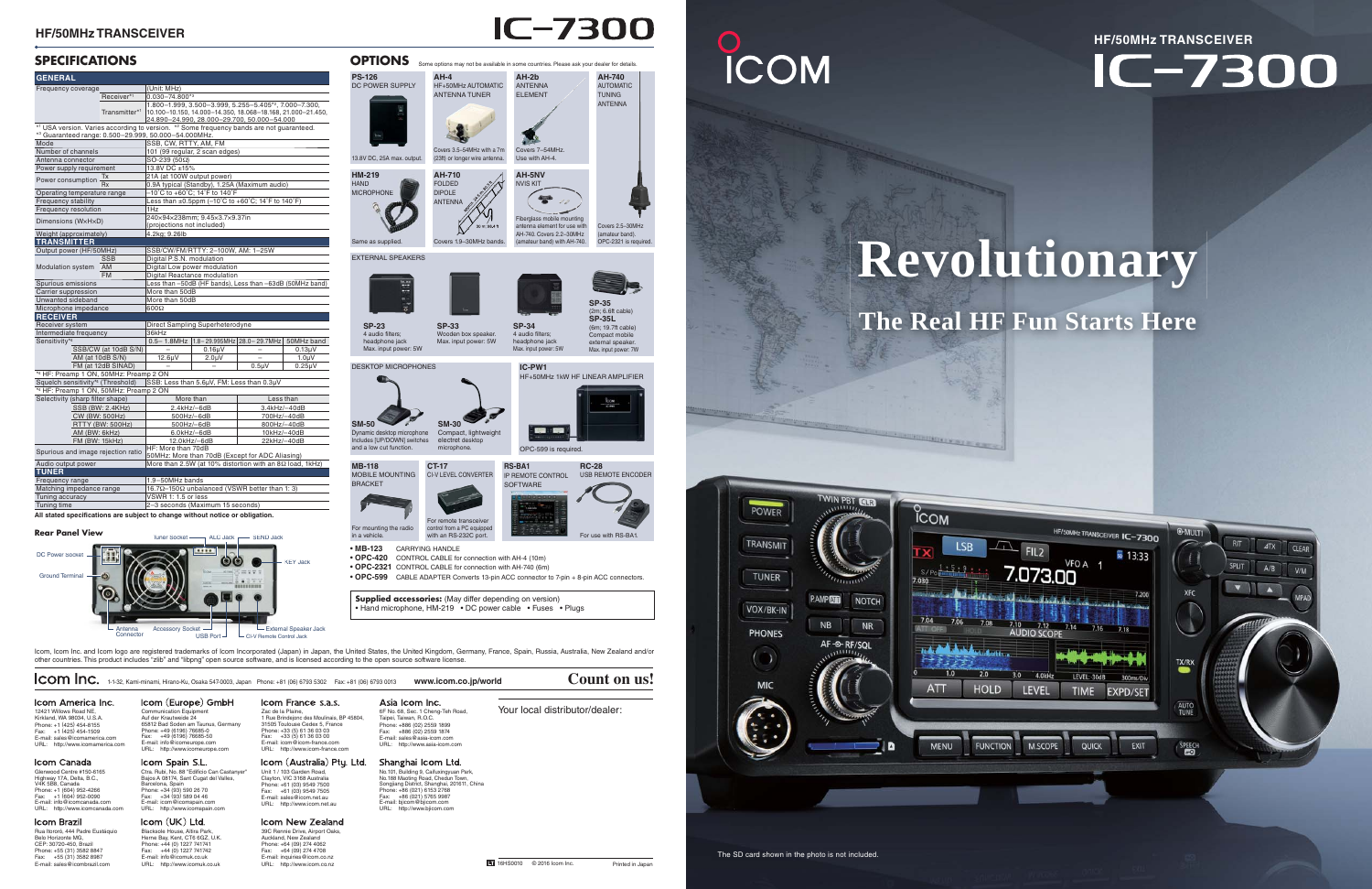Tuner Sockett —— ALC Jack —— SEND Jack DC Power Socke ၜၜ KEY JackGround Ter Accessory Socket Antenna External Speaker Jack **Connector** USB PortCI-V Remote Control Jack

## **The Real HF Fun Starts Here**

#### **HF/50MHz TRANSCEIVER**

#### **SPECIFICATIONS**



# **ICOM**



| Frequency coverage                                                                                                                               |                          | (Unit: MHz)                                                                 |                                                                 |                            |                    |  |  |
|--------------------------------------------------------------------------------------------------------------------------------------------------|--------------------------|-----------------------------------------------------------------------------|-----------------------------------------------------------------|----------------------------|--------------------|--|--|
|                                                                                                                                                  | Receiver*1               | $0.030 - 74.800*3$                                                          |                                                                 |                            |                    |  |  |
|                                                                                                                                                  |                          |                                                                             | 1.800-1.999, 3.500-3.999, 5.255-5.405*2, 7.000-7.300,           |                            |                    |  |  |
|                                                                                                                                                  | Transmitter*1            |                                                                             | 10.100-10.150, 14.000-14.350, 18.068-18.168, 21.000-21.450,     |                            |                    |  |  |
|                                                                                                                                                  |                          | 24.890-24.990, 28.000-29.700, 50.000-54.000                                 |                                                                 |                            |                    |  |  |
| *1 USA version. Varies according to version. *2 Some frequency bands are not guaranteed.<br>*3 Guaranteed range: 0.500-29.999, 50.000-54.000MHz. |                          |                                                                             |                                                                 |                            |                    |  |  |
| Mode                                                                                                                                             |                          | SSB, CW, RTTY, AM, FM                                                       |                                                                 |                            |                    |  |  |
| Number of channels                                                                                                                               |                          | 101 (99 regular, 2 scan edges)                                              |                                                                 |                            |                    |  |  |
| Antenna connector                                                                                                                                |                          | $SO-239(50\Omega)$                                                          |                                                                 |                            |                    |  |  |
| Power supply requirement                                                                                                                         |                          | 13.8V DC ±15%                                                               |                                                                 |                            |                    |  |  |
| Тx                                                                                                                                               |                          | 21A (at 100W output power)                                                  |                                                                 |                            |                    |  |  |
| Power consumption                                                                                                                                |                          | 0.9A typical (Standby), 1.25A (Maximum audio)                               |                                                                 |                            |                    |  |  |
| Operating temperature range                                                                                                                      |                          |                                                                             | -10°C to +60°C; 14°F to 140°F                                   |                            |                    |  |  |
| Frequency stability                                                                                                                              |                          | Less than $\pm 0.5$ ppm (-10°C to +60°C; 14°F to 140°F)                     |                                                                 |                            |                    |  |  |
| Frequency resolution                                                                                                                             |                          | 1Hz                                                                         |                                                                 |                            |                    |  |  |
| Dimensions (WxHxD)                                                                                                                               |                          | 240×94×238mm: 9.45×3.7×9.37in                                               |                                                                 |                            |                    |  |  |
|                                                                                                                                                  |                          | (projections not included)                                                  |                                                                 |                            |                    |  |  |
| Weight (approximately)                                                                                                                           |                          | 4.2kg; 9.26lb                                                               |                                                                 |                            |                    |  |  |
| <b>TRANSMITTER</b>                                                                                                                               |                          |                                                                             |                                                                 |                            |                    |  |  |
| Output power (HF/50MHz)                                                                                                                          |                          |                                                                             | SSB/CW/FM/RTTY: 2-100W, AM: 1-25W                               |                            |                    |  |  |
| Modulation system                                                                                                                                | <b>SSB</b>               | Digital P.S.N. modulation                                                   |                                                                 |                            |                    |  |  |
|                                                                                                                                                  | AM                       | Digital Low power modulation                                                |                                                                 |                            |                    |  |  |
|                                                                                                                                                  | <b>FM</b>                | Digital Reactance modulation                                                |                                                                 |                            |                    |  |  |
| Spurious emissions                                                                                                                               |                          | Less than -50dB (HF bands), Less than -63dB (50MHz band)                    |                                                                 |                            |                    |  |  |
| Carrier suppression                                                                                                                              |                          | More than 50dB                                                              |                                                                 |                            |                    |  |  |
| Unwanted sideband                                                                                                                                |                          | More than 50dB                                                              |                                                                 |                            |                    |  |  |
| Microphone impedance                                                                                                                             |                          | $\Omega 00$                                                                 |                                                                 |                            |                    |  |  |
| <b>RECEIVER</b>                                                                                                                                  |                          |                                                                             |                                                                 |                            |                    |  |  |
| Receiver system                                                                                                                                  |                          |                                                                             | Direct Sampling Superheterodyne                                 |                            |                    |  |  |
| Intermediate frequency                                                                                                                           |                          | 36kHz                                                                       |                                                                 |                            |                    |  |  |
| Sensitivity <sup>*4</sup>                                                                                                                        |                          |                                                                             | 0.5-1.8MHz   1.8-29.995MHz   28.0-29.7MHz   50MHz band          |                            |                    |  |  |
|                                                                                                                                                  | SSB/CW (at 10dB S/N)     |                                                                             | $0.16\mu$ V                                                     | -<br>$\equiv$              | $0.13\mu$ V        |  |  |
| AM (at 10dB S/N)                                                                                                                                 |                          | 12.6µV                                                                      | 2.0 <sub>µ</sub> V                                              |                            | 1.0 <sub>µ</sub> V |  |  |
|                                                                                                                                                  | FM (at 12dB SINAD)       |                                                                             |                                                                 | $0.5\mu V$                 | $0.25\mu V$        |  |  |
| *4 HF: Preamp 1 ON, 50MHz: Preamp 2 ON                                                                                                           |                          |                                                                             |                                                                 |                            |                    |  |  |
|                                                                                                                                                  |                          | Squelch sensitivity*4 (Threshold) SSB: Less than 5.6µV, FM: Less than 0.3µV |                                                                 |                            |                    |  |  |
| *4 HF: Preamp 1 ON, 50MHz: Preamp 2 ON                                                                                                           |                          |                                                                             |                                                                 |                            |                    |  |  |
| Selectivity (sharp filter shape)                                                                                                                 |                          | More than                                                                   |                                                                 | Less than                  |                    |  |  |
| SSB (BW: 2.4KHz)                                                                                                                                 |                          | 2.4kHz/-6dB                                                                 |                                                                 | 3.4kHz/-40dB               |                    |  |  |
| CW (BW: 500Hz)                                                                                                                                   |                          | 500Hz/-6dB<br>500Hz/-6dB                                                    |                                                                 | 700Hz/-40dB<br>800Hz/-40dB |                    |  |  |
| RTTY (BW: 500Hz)                                                                                                                                 |                          |                                                                             |                                                                 | 10kHz/-40dB                |                    |  |  |
| AM (BW: 6kHz)                                                                                                                                    |                          | 6.0kHz/-6dB<br>12.0kHz/-6dB                                                 |                                                                 | 22kHz/-40dB                |                    |  |  |
| FM (BW: 15kHz)                                                                                                                                   |                          | HF: More than 70dB                                                          |                                                                 |                            |                    |  |  |
| Spurious and image rejection ratio                                                                                                               |                          | 50MHz: More than 70dB (Except for ADC Aliasing)                             |                                                                 |                            |                    |  |  |
| Audio output power                                                                                                                               |                          |                                                                             | More than 2.5W (at 10% distortion with an $8\Omega$ load, 1kHz) |                            |                    |  |  |
| <b>TUNER</b>                                                                                                                                     |                          |                                                                             |                                                                 |                            |                    |  |  |
| Frequency range                                                                                                                                  |                          | 1.9-50MHz bands                                                             |                                                                 |                            |                    |  |  |
|                                                                                                                                                  | Matching impedance range |                                                                             | 16.7Ω-150Ω unbalanced (VSWR better than 1: 3)                   |                            |                    |  |  |
|                                                                                                                                                  |                          |                                                                             | VSWR 1: 1.5 or less<br>2-3 seconds (Maximum 15 seconds)         |                            |                    |  |  |
| Tuning accuracy<br>Tuning time                                                                                                                   |                          |                                                                             |                                                                 |                            |                    |  |  |

Icom, Icom Inc. and Icom logo are registered trademarks of Icom Incorporated (Japan) in Japan, the United States, the United Kingdom, Germany, France, Spain, Russia, Australia, New Zealand and/or other countries. This product includes "zlib" and "libpng" open source software, and is licensed according to the open source software license.

## **HF/50MHz TRANSCEIVERIC-7300**

# **Revolutionary**

| Icom Inc.                                                                                                                                                                                                       | 1-1-32, Kami-minami, Hirano-Ku, Osaka 547-0003, Japan Phone: +81 (06) 6793 5302  Fax: +81 (06) 6793 0013                                                                                                                                           |                                                                                                                                                                                                                                                     | www.icom.co.jp/world                                                                                                                                                                                                                                                      | Count on us!                                               |
|-----------------------------------------------------------------------------------------------------------------------------------------------------------------------------------------------------------------|----------------------------------------------------------------------------------------------------------------------------------------------------------------------------------------------------------------------------------------------------|-----------------------------------------------------------------------------------------------------------------------------------------------------------------------------------------------------------------------------------------------------|---------------------------------------------------------------------------------------------------------------------------------------------------------------------------------------------------------------------------------------------------------------------------|------------------------------------------------------------|
| Icom America Inc.<br>12421 Willows Road NE.<br>Kirkland, WA 98034, U.S.A.<br>Phone: +1 (425) 454-8155<br>Fax: +1 (425) 454-1509<br>E-mail: sales@icomamerica.com<br>http://www.icomamerica.com<br>URL:          | Icom (Europe) GmbH<br>Communication Equipment<br>Auf der Krautweide 24<br>65812 Bad Soden am Taunus, Germany<br>Phone: +49 (6196) 76685-0<br>+49 (6196) 76685-50<br>Fax:<br>E-mail: info@icomeurope.com<br>URL: http://www.icomeurope.com          | Icom France s.a.s.<br>Zac de la Plaine.<br>1 Rue Brindejonc des Moulinais, BP 45804,<br>31505 Toulouse Cedex 5, France<br>Phone: +33 (5) 61 36 03 03<br>Fax: +33 (5) 61 36 03 00<br>E-mail: icom@icom-france.com<br>URL: http://www.icom-france.com | Asia Icom Inc.<br>6F No. 68, Sec. 1 Cheng-Teh Road,<br>Taipei, Taiwan, R.O.C.<br>Phone: +886 (02) 2559 1899<br>+886 (02) 2559 1874<br>Fax:<br>E-mail: sales@asia-icom.com<br>URL: http://www.asia-icom.com                                                                | Your local distributor/dealer:                             |
| Icom Canada<br>Glenwood Centre #150-6165<br>Highway 17A, Delta, B.C.,<br>V4K 5B8, Canada<br>Phone: +1 (604) 952-4266<br>Fax: +1 (604) 952-0090<br>E-mail: info@icomcanada.com<br>URL: http://www.icomcanada.com | Icom Spain S.L.<br>Ctra. Rubi, No. 88 "Edificio Can Castanyer"<br>Bajos A 08174, Sant Cugat del Valles,<br>Barcelona, Spain<br>Phone: +34 (93) 590 26 70<br>Fax: +34 (93) 589 04 46<br>E-mail: icom@icomspain.com<br>URL: http://www.icomspain.com | Icom (Australia) Pty. Ltd.<br>Unit 1 / 103 Garden Road.<br>Clayton, VIC 3168 Australia<br>Phone: +61 (03) 9549 7500<br>Fax: +61 (03) 9549 7505<br>E-mail: sales@icom.net.au<br>URL: http://www.icom.net.au                                          | Shanghai Icom Ltd.<br>No.101, Building 9, Caifuxingyuan Park,<br>No.188 Maoting Road, Chedun Town,<br>Songjiang District, Shanghai, 201611, China<br>Phone: +86 (021) 6153 2768<br>+86 (021) 5765 9987<br>Fax:<br>E-mail: bjicom@bjicom.com<br>URL: http://www.bjicom.com |                                                            |
| Icom Brazil<br>Rua Itororó, 444 Padre Eustáquio<br>Belo Horizonte MG,<br>CEP: 30720-450, Brazil<br>Phone: +55 (31) 3582 8847<br>Fax: +55 (31) 3582 8987                                                         | lcom(UK) Ltd.<br>Blacksole House, Altira Park.<br>Herne Bay, Kent, CT6 6GZ, U.K.<br>Phone: +44 (0) 1227 741741<br>Fax: +44 (0) 1227 741742<br>E-mail: info@icomuk.co.uk                                                                            | Icom New Zealand<br>39C Rennie Drive, Airport Oaks,<br>Auckland, New Zealand<br>Phone: +64 (09) 274 4062<br>Fax: +64 (09) 274 4708<br>E-mail: inquiries@icom.co.nz                                                                                  |                                                                                                                                                                                                                                                                           |                                                            |
| E-mail: sales@icombrazil.com                                                                                                                                                                                    | URL: http://www.icomuk.co.uk                                                                                                                                                                                                                       | URL: http://www.icom.co.nz                                                                                                                                                                                                                          |                                                                                                                                                                                                                                                                           | <b>LI</b> 16HS0010<br>© 2016 Icom Inc.<br>Printed in Japan |

# **IC-7300**